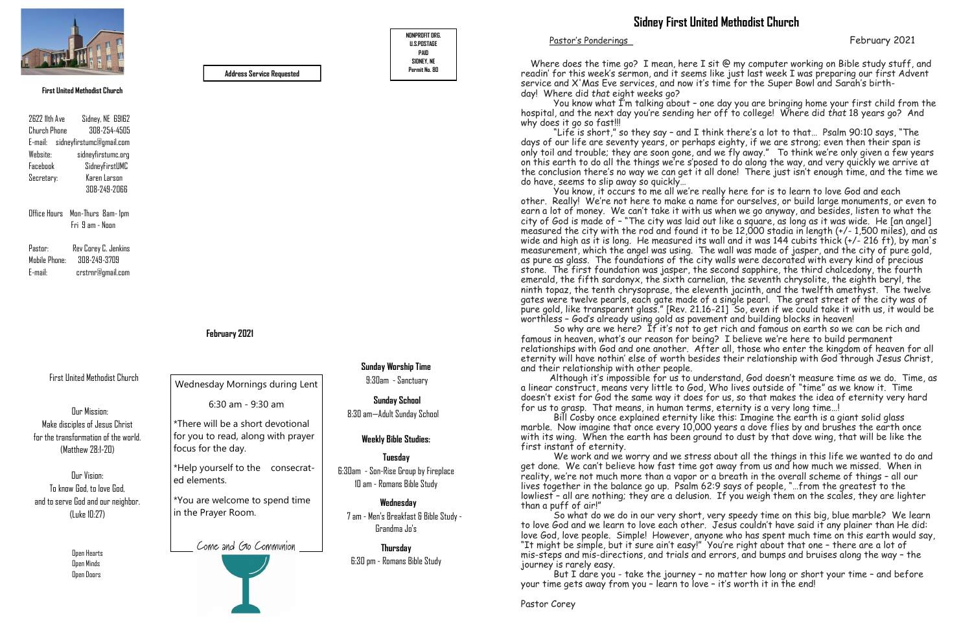

Pastor's Ponderings February 2021

First United Methodist Church

 Open Hearts Open Minds Open Doors

### **February 2021**

Office Hours Mon-Thurs 8am- 1pm Fri 9 am - Noon

2622 11th Ave Sidney, NE 69162 Church Phone 308-254-4505 E-mail: sidneyfirstumc@gmail.com Website: sidneyfirstumc.org Facebook SidneyFirstUMC Secretary: Karen Larson 308-249-2066

Pastor: Rev Corey C. Jenkins Mobile Phone: 308-249-3709 E-mail: crstrnr@gmail.com





**Permit No. 80 Address Service Requested**

#### **First United Methodist Church**

**Sunday Worship Time** 9:30am - Sanctuary

> **Sunday School**  8:30 am—Adult Sunday School

## **Weekly Bible Studies:**

**Tuesday**  6:30am - Son-Rise Group by Fireplace 10 am - Romans Bible Study

 **Wednesday**

 7 am - Men's Breakfast & Bible Study - Grandma Jo's

**Thursday**

Where does the time go? I mean, here I sit @ my computer working on Bible study stuff, and readin' for this week's sermon, and it seems like just last week I was preparing our first Advent service and X'Mas Eve services, and now it's time for the Super Bowl and Sarah's birthday! Where did *that* eight weeks go?

 You know what I'm talking about – one day you are bringing home your first child from the hospital, and the next day you're sending her off to college! Where did *that* 18 years go? And why does it go so fast!!!

6:30 pm - Romans Bible Study

Our Mission: Make disciples of Jesus Christ for the transformation of the world. (Matthew 28:1-20)

Our Vision: To know God, to love God, and to serve God and our neighbor. (Luke 10:27)

Wednesday Mornings during Lent

6:30 am - 9:30 am

\*There will be a short devotional for you to read, along with prayer focus for the day.

\*Help yourself to the consecrated elements.

\*You are welcome to spend time in the Prayer Room.

Come and Go Communion

 "Life is short," so they say – and I think there's a lot to that… Psalm 90:10 says, "The days of our life are seventy years, or perhaps eighty, if we are strong; even then their span is only toil and trouble; they are soon gone, and we fly away." To think we're only given a few years on this earth to do all the things we're s'posed to do along the way, and very quickly we arrive at the conclusion there's no way we can get it all done! There just isn't enough time, and the time we do have, seems to slip away so quickly…

 You know, it occurs to me all we're really here for is to learn to love God and each other. Really! We're not here to make a name for ourselves, or build large monuments, or even to earn a lot of money. We can't take it with us when we go anyway, and besides, listen to what the city of God is made of – "The city was laid out like a square, as long as it was wide. He [an angel] measured the city with the rod and found it to be 12,000 stadia in length (+/- 1,500 miles), and as wide and high as it is long. He measured its wall and it was 144 cubits thick (+/- 216 ft), by man's measurement, which the angel was using. The wall was made of jasper, and the city of pure gold, as pure as glass. The foundations of the city walls were decorated with every kind of precious stone. The first foundation was jasper, the second sapphire, the third chalcedony, the fourth emerald, the fifth sardonyx, the sixth carnelian, the seventh chrysolite, the eighth beryl, the ninth topaz, the tenth chrysoprase, the eleventh jacinth, and the twelfth amethyst. The twelve gates were twelve pearls, each gate made of a single pearl. The great street of the city was of pure gold, like transparent glass." [Rev. 21.16-21] So, even if we could take it with us, it would be worthless – God's already using gold as pavement and building blocks in heaven!

 So why are we here? If it's not to get rich and famous on earth so we can be rich and famous in heaven, what's our reason for being? I believe we're here to build permanent relationships with God and one another. After all, those who enter the kingdom of heaven for all eternity will have nothin' else of worth besides their relationship with God through Jesus Christ, and their relationship with other people.

Although it's impossible for us to understand, God doesn't measure time as we do. Time, as a linear construct, means very little to God, Who lives outside of "time" as we know it. Time doesn't exist for God the same way it does for us, so that makes the idea of eternity very hard for us to grasp. That means, in human terms, eternity is a very long time…!

 Bill Cosby once explained eternity like this: Imagine the earth is a giant solid glass marble. Now imagine that once every 10,000 years a dove flies by and brushes the earth once with its wing. When the earth has been ground to dust by that dove wing, that will be like the first instant of eternity.

 We work and we worry and we stress about all the things in this life we wanted to do and get done. We can't believe how fast time got away from us and how much we missed. When in reality, we're not much more than a vapor or a breath in the overall scheme of things – all our lives together in the balance go up. Psalm 62:9 says of people, "... from the greatest to the lowliest – all are nothing; they are a delusion. If you weigh them on the scales, they are lighter than a puff of air!"

 So what do we do in our very short, very speedy time on this big, blue marble? We learn to love God and we learn to love each other. Jesus couldn't have said it any plainer than He did: love God, love people. Simple! However, anyone who has spent much time on this earth would say, "It might be simple, but it sure ain't easy!" You're right about that one – there are a lot of mis-steps and mis-directions, and trials and errors, and bumps and bruises along the way – the journey is rarely easy.

 But I dare you - take the journey – no matter how long or short your time – and before your time gets away from you – learn to love – it's worth it in the end!

# **Sidney First United Methodist Church**